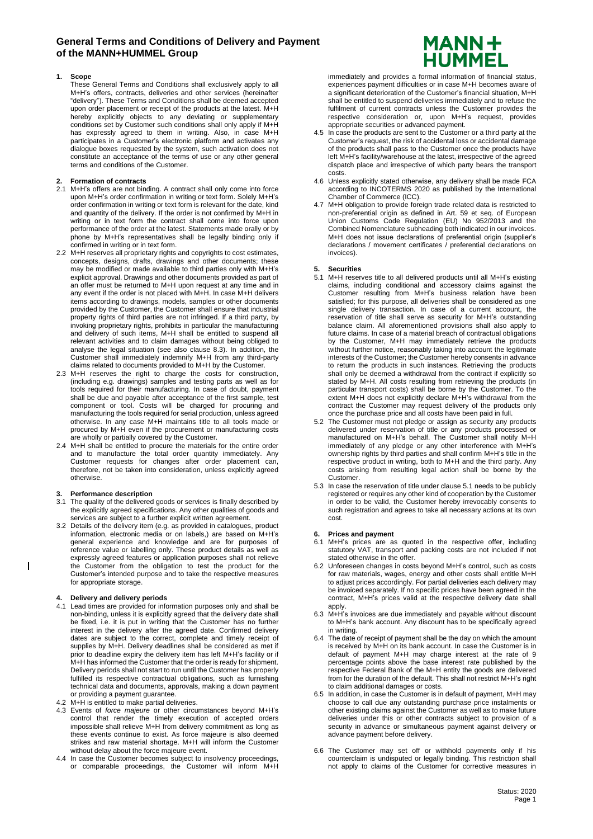# **General Terms and Conditions of Delivery and Payment of the MANN+HUMMEL Group**

# **1. Scope**

These General Terms and Conditions shall exclusively apply to all M+H's offers, contracts, deliveries and other services (hereinafter "delivery"). These Terms and Conditions shall be deemed accepted upon order placement or receipt of the products at the latest. M+H hereby explicitly objects to any deviating or supplementary conditions set by Customer such conditions shall only apply if M+H has expressly agreed to them in writing. Also, in case M+H participates in a Customer's electronic platform and activates any dialogue boxes requested by the system, such activation does not constitute an acceptance of the terms of use or any other general terms and conditions of the Customer.

# **2. Formation of contracts**

- 2.1 M+H's offers are not binding. A contract shall only come into force upon M+H's order confirmation in writing or text form. Solely M+H's order confirmation in writing or text form is relevant for the date, kind and quantity of the delivery. If the order is not confirmed by M+H in writing or in text form the contract shall come into force upon performance of the order at the latest. Statements made orally or by phone by M+H's representatives shall be legally binding only if confirmed in writing or in text form.
- 2.2 M+H reserves all proprietary rights and copyrights to cost estimates, concepts, designs, drafts, drawings and other documents; these may be modified or made available to third parties only with M+H's explicit approval. Drawings and other documents provided as part of an offer must be returned to M+H upon request at any time and in any event if the order is not placed with M+H. In case M+H delivers items according to drawings, models, samples or other documents provided by the Customer, the Customer shall ensure that industrial property rights of third parties are not infringed. If a third party, by invoking proprietary rights, prohibits in particular the manufacturing and delivery of such items, M+H shall be entitled to suspend all relevant activities and to claim damages without being obliged to analyse the legal situation (see also clause 8.3). In addition, the Customer shall immediately indemnify M+H from any third-party claims related to documents provided to M+H by the Customer.
- 2.3 M+H reserves the right to charge the costs for construction, (including e.g. drawings) samples and testing parts as well as for tools required for their manufacturing. In case of doubt, payment shall be due and payable after acceptance of the first sample, test component or tool. Costs will be charged for procuring and manufacturing the tools required for serial production, unless agreed otherwise. In any case M+H maintains title to all tools made or procured by M+H even if the procurement or manufacturing costs are wholly or partially covered by the Customer.
- 2.4 M+H shall be entitled to procure the materials for the entire order and to manufacture the total order quantity immediately. Any Customer requests for changes after order placement can, therefore, not be taken into consideration, unless explicitly agreed otherwise.

# **3. Performance description**

- 3.1 The quality of the delivered goods or services is finally described by the explicitly agreed specifications. Any other qualities of goods and services are subject to a further explicit written agreement.
- 3.2 Details of the delivery item (e.g. as provided in catalogues, product information, electronic media or on labels,) are based on M+H's general experience and knowledge and are for purposes of reference value or labelling only. These product details as well as expressly agreed features or application purposes shall not relieve the Customer from the obligation to test the product for the Customer's intended purpose and to take the respective measures for appropriate storage.

# **4. Delivery and delivery periods**

 $\overline{\phantom{a}}$ 

- 4.1 Lead times are provided for information purposes only and shall be non-binding, unless it is explicitly agreed that the delivery date shall be fixed, i.e. it is put in writing that the Customer has no further interest in the delivery after the agreed date. Confirmed delivery dates are subject to the correct, complete and timely receipt of supplies by M+H. Delivery deadlines shall be considered as met if prior to deadline expiry the delivery item has left M+H's facility or if M+H has informed the Customer that the order is ready for shipment. Delivery periods shall not start to run until the Customer has properly fulfilled its respective contractual obligations, such as furnishing technical data and documents, approvals, making a down payment or providing a payment guarantee.
- 4.2 M+H is entitled to make partial deliveries.
- 4.3 Events of *force majeure* or other circumstances beyond M+H's control that render the timely execution of accepted orders impossible shall relieve M+H from delivery commitment as long as these events continue to exist. As force majeure is also deemed strikes and raw material shortage. M+H will inform the Customer without delay about the force majeure event.
- 4.4 In case the Customer becomes subject to insolvency proceedings, or comparable proceedings, the Customer will inform M+H



immediately and provides a formal information of financial status, experiences payment difficulties or in case M+H becomes aware of a significant deterioration of the Customer's financial situation, M+H shall be entitled to suspend deliveries immediately and to refuse the fulfilment of current contracts unless the Customer provides the respective consideration or, upon M+H's request, provides appropriate securities or advanced payment.

- 4.5 In case the products are sent to the Customer or a third party at the Customer's request, the risk of accidental loss or accidental damage of the products shall pass to the Customer once the products have left M+H's facility/warehouse at the latest, irrespective of the agreed dispatch place and irrespective of which party bears the transport costs.
- 4.6 Unless explicitly stated otherwise, any delivery shall be made FCA according to INCOTERMS 2020 as published by the International Chamber of Commerce (ICC).
- 4.7 M+H obligation to provide foreign trade related data is restricted to non-preferential origin as defined in Art. 59 et seq. of European Union Customs Code Regulation (EU) No 952/2013 and the Combined Nomenclature subheading both indicated in our invoices. M+H does not issue declarations of preferential origin (supplier's declarations / movement certificates / preferential declarations on invoices).

# **5. Securities**

- 5.1 M+H reserves title to all delivered products until all M+H's existing claims, including conditional and accessory claims against the Customer resulting from M+H's business relation have been satisfied; for this purpose, all deliveries shall be considered as one single delivery transaction. In case of a current account, the reservation of title shall serve as security for M+H's outstanding balance claim. All aforementioned provisions shall also apply to future claims. In case of a material breach of contractual obligations by the Customer, M+H may immediately retrieve the products without further notice, reasonably taking into account the legitimate interests of the Customer; the Customer hereby consents in advance to return the products in such instances. Retrieving the products shall only be deemed a withdrawal from the contract if explicitly so stated by M+H. All costs resulting from retrieving the products (in particular transport costs) shall be borne by the Customer. To the extent M+H does not explicitly declare M+H's withdrawal from the contract the Customer may request delivery of the products only once the purchase price and all costs have been paid in full.
- 5.2 The Customer must not pledge or assign as security any products delivered under reservation of title or any products processed or manufactured on M+H's behalf. The Customer shall notify M+H immediately of any pledge or any other interference with M+H's ownership rights by third parties and shall confirm M+H's title in the respective product in writing, both to M+H and the third party. Any costs arising from resulting legal action shall be borne by the Customer.
- 5.3 In case the reservation of title under clause 5.1 needs to be publicly registered or requires any other kind of cooperation by the Customer in order to be valid, the Customer hereby irrevocably consents to such registration and agrees to take all necessary actions at its own cost.

# **6. Prices and payment**

- 6.1 M+H's prices are as quoted in the respective offer, including statutory VAT, transport and packing costs are not included if not stated otherwise in the offer.
- 6.2 Unforeseen changes in costs beyond M+H's control, such as costs for raw materials, wages, energy and other costs shall entitle M+H to adjust prices accordingly. For partial deliveries each delivery may be invoiced separately. If no specific prices have been agreed in the contract, M+H's prices valid at the respective delivery date shall apply.
- 6.3 M+H's invoices are due immediately and payable without discount to M+H's bank account. Any discount has to be specifically agreed in writing.
- 6.4 The date of receipt of payment shall be the day on which the amount is received by M+H on its bank account. In case the Customer is in default of payment M+H may charge interest at the rate of 9 percentage points above the base interest rate published by the respective Federal Bank of the M+H entity the goods are delivered from for the duration of the default. This shall not restrict M+H's right to claim additional damages or costs.
- 6.5 In addition, in case the Customer is in default of payment, M+H may choose to call due any outstanding purchase price instalments or other existing claims against the Customer as well as to make future deliveries under this or other contracts subject to provision of a security in advance or simultaneous payment against delivery or advance payment before delivery.
- 6.6 The Customer may set off or withhold payments only if his counterclaim is undisputed or legally binding. This restriction shall not apply to claims of the Customer for corrective measures in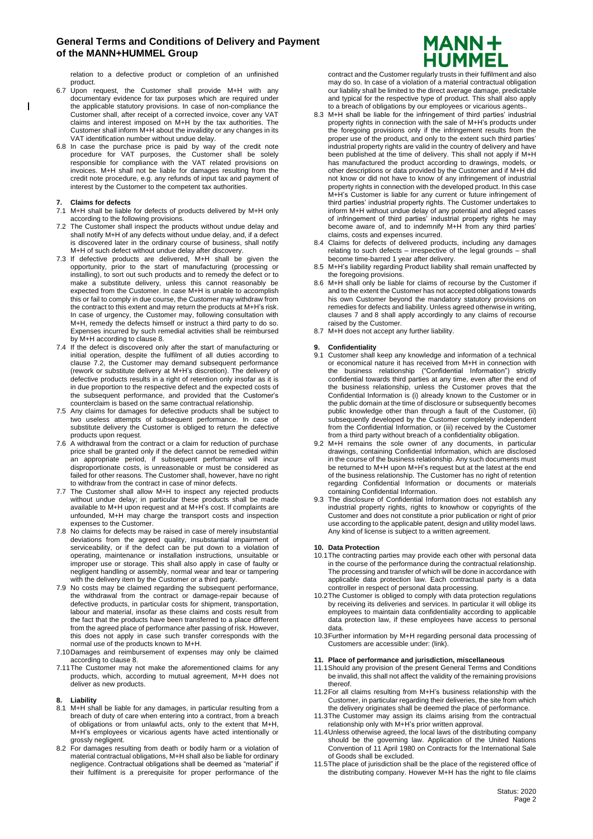relation to a defective product or completion of an unfinished product.

- 6.7 Upon request, the Customer shall provide M+H with any documentary evidence for tax purposes which are required under the applicable statutory provisions. In case of non-compliance the Customer shall, after receipt of a corrected invoice, cover any VAT claims and interest imposed on M+H by the tax authorities. The Customer shall inform M+H about the invalidity or any changes in its VAT identification number without undue delay.
- 6.8 In case the purchase price is paid by way of the credit note procedure for VAT purposes, the Customer shall be solely responsible for compliance with the VAT related provisions on invoices. M+H shall not be liable for damages resulting from the credit note procedure, e.g. any refunds of input tax and payment of interest by the Customer to the competent tax authorities.

#### **7. Claims for defects**

 $\overline{1}$ 

- 7.1 M+H shall be liable for defects of products delivered by M+H only according to the following provisions.
- 7.2 The Customer shall inspect the products without undue delay and shall notify M+H of any defects without undue delay, and, if a defect is discovered later in the ordinary course of business, shall notify M+H of such defect without undue delay after discovery.
- 7.3 If defective products are delivered, M+H shall be given the opportunity, prior to the start of manufacturing (processing or installing), to sort out such products and to remedy the defect or to make a substitute delivery, unless this cannot reasonably be expected from the Customer. In case M+H is unable to accomplish this or fail to comply in due course, the Customer may withdraw from the contract to this extent and may return the products at M+H's risk. In case of urgency, the Customer may, following consultation with M+H, remedy the defects himself or instruct a third party to do so. Expenses incurred by such remedial activities shall be reimbursed by M+H according to clause 8.
- 7.4 If the defect is discovered only after the start of manufacturing or initial operation, despite the fulfilment of all duties according to clause 7.2, the Customer may demand subsequent performance (rework or substitute delivery at M+H's discretion). The delivery of defective products results in a right of retention only insofar as it is in due proportion to the respective defect and the expected costs of the subsequent performance, and provided that the Customer's counterclaim is based on the same contractual relationship.
- 7.5 Any claims for damages for defective products shall be subject to two useless attempts of subsequent performance. In case of substitute delivery the Customer is obliged to return the defective products upon request.
- 7.6 A withdrawal from the contract or a claim for reduction of purchase price shall be granted only if the defect cannot be remedied within an appropriate period, if subsequent performance will incur disproportionate costs, is unreasonable or must be considered as failed for other reasons. The Customer shall, however, have no right to withdraw from the contract in case of minor defects.
- 7.7 The Customer shall allow M+H to inspect any rejected products without undue delay; in particular these products shall be made available to M+H upon request and at M+H's cost. If complaints are unfounded, M+H may charge the transport costs and inspection expenses to the Customer.
- 7.8 No claims for defects may be raised in case of merely insubstantial deviations from the agreed quality, insubstantial impairment of serviceability, or if the defect can be put down to a violation of operating, maintenance or installation instructions, unsuitable or improper use or storage. This shall also apply in case of faulty or negligent handling or assembly, normal wear and tear or tampering with the delivery item by the Customer or a third party.
- 7.9 No costs may be claimed regarding the subsequent performance, the withdrawal from the contract or damage-repair because of defective products, in particular costs for shipment, transportation, labour and material, insofar as these claims and costs result from the fact that the products have been transferred to a place different from the agreed place of performance after passing of risk. However, this does not apply in case such transfer corresponds with the normal use of the products known to M+H.
- 7.10Damages and reimbursement of expenses may only be claimed according to clause 8.
- 7.11The Customer may not make the aforementioned claims for any products, which, according to mutual agreement, M+H does not deliver as new products.

#### **8. Liability**

- 8.1 M+H shall be liable for any damages, in particular resulting from a breach of duty of care when entering into a contract, from a breach of obligations or from unlawful acts, only to the extent that M+H, M+H's employees or vicarious agents have acted intentionally or grossly negligent.
- 8.2 For damages resulting from death or bodily harm or a violation of material contractual obligations, M+H shall also be liable for ordinary negligence. Contractual obligations shall be deemed as "material" if their fulfilment is a prerequisite for proper performance of the



contract and the Customer regularly trusts in their fulfilment and also may do so. In case of a violation of a material contractual obligation our liability shall be limited to the direct average damage, predictable and typical for the respective type of product. This shall also apply to a breach of obligations by our employees or vicarious agents .

- 8.3 M+H shall be liable for the infringement of third parties' industrial property rights in connection with the sale of M+H's products under the foregoing provisions only if the infringement results from the proper use of the product, and only to the extent such third parties' industrial property rights are valid in the country of delivery and have been published at the time of delivery. This shall not apply if M+H has manufactured the product according to drawings, models, or other descriptions or data provided by the Customer and if M+H did not know or did not have to know of any infringement of industrial property rights in connection with the developed product. In this case M+H's Customer is liable for any current or future infringement of third parties' industrial property rights. The Customer undertakes to inform M+H without undue delay of any potential and alleged cases of infringement of third parties' industrial property rights he may become aware of, and to indemnify M+H from any third parties' claims, costs and expenses incurred.
- 8.4 Claims for defects of delivered products, including any damages relating to such defects – irrespective of the legal grounds – shall become time-barred 1 year after delivery.
- 8.5 M+H's liability regarding Product liability shall remain unaffected by the foregoing provisions.
- 8.6 M+H shall only be liable for claims of recourse by the Customer if and to the extent the Customer has not accepted obligations towards his own Customer beyond the mandatory statutory provisions on remedies for defects and liability. Unless agreed otherwise in writing, clauses 7 and 8 shall apply accordingly to any claims of recourse raised by the Customer.
- 8.7 M+H does not accept any further liability.

#### **9. Confidentiality**

- 9.1 Customer shall keep any knowledge and information of a technical or economical nature it has received from M+H in connection with the business relationship ("Confidential Information") strictly confidential towards third parties at any time, even after the end of the business relationship, unless the Customer proves that the Confidential Information is (i) already known to the Customer or in the public domain at the time of disclosure or subsequently becomes public knowledge other than through a fault of the Customer, (ii) subsequently developed by the Customer completely independent from the Confidential Information, or (iii) received by the Customer from a third party without breach of a confidentiality obligation.
- 9.2 M+H remains the sole owner of any documents, in particular drawings, containing Confidential Information, which are disclosed in the course of the business relationship. Any such documents must be returned to M+H upon M+H's request but at the latest at the end of the business relationship. The Customer has no right of retention regarding Confidential Information or documents or materials containing Confidential Information.
- 9.3 The disclosure of Confidential Information does not establish any industrial property rights, rights to knowhow or copyrights of the Customer and does not constitute a prior publication or right of prior use according to the applicable patent, design and utility model laws. Any kind of license is subject to a written agreement.

#### **10. Data Protection**

- 10.1The contracting parties may provide each other with personal data in the course of the performance during the contractual relationship. The processing and transfer of which will be done in accordance with applicable data protection law. Each contractual party is a data controller in respect of personal data processing.
- 10.2The Customer is obliged to comply with data protection regulations by receiving its deliveries and services. In particular it will oblige its employees to maintain data confidentiality according to applicable data protection law, if these employees have access to personal data.
- 10.3Further information by M+H regarding personal data processing of Customers are accessible under: (link).

#### **11. Place of performance and jurisdiction, miscellaneous**

- 11.1Should any provision of the present General Terms and Conditions be invalid, this shall not affect the validity of the remaining provisions thereof.
- 11.2For all claims resulting from M+H's business relationship with the Customer, in particular regarding their deliveries, the site from which the delivery originates shall be deemed the place of performance.
- 11.3The Customer may assign its claims arising from the contractual relationship only with M+H's prior written approval.
- 11.4Unless otherwise agreed, the local laws of the distributing company should be the governing law. Application of the United Nations Convention of 11 April 1980 on Contracts for the International Sale of Goods shall be excluded.
- 11.5The place of jurisdiction shall be the place of the registered office of the distributing company. However M+H has the right to file claims